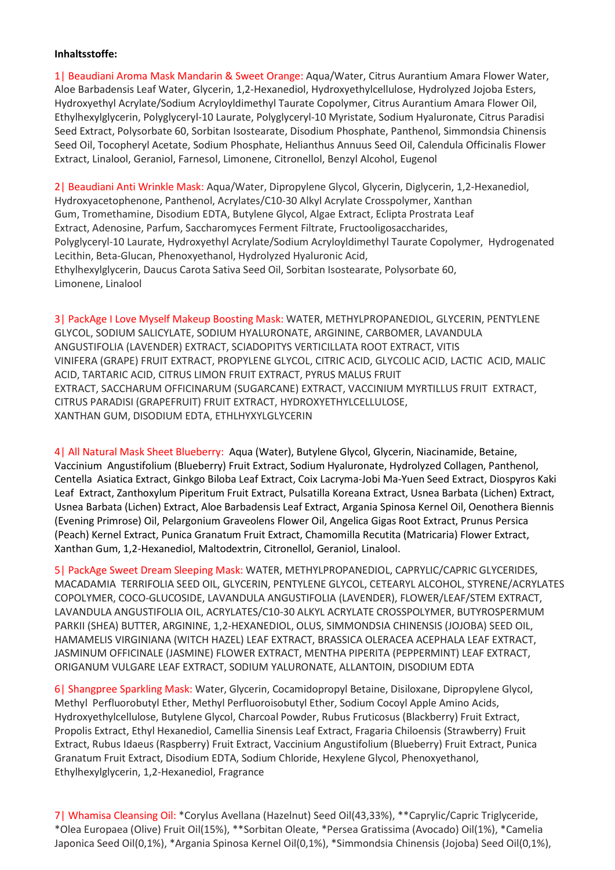## Inhaltsstoffe:

1| Beaudiani Aroma Mask Mandarin & Sweet Orange: Aqua/Water, Citrus Aurantium Amara Flower Water, Aloe Barbadensis Leaf Water, Glycerin, 1,2-Hexanediol, Hydroxyethylcellulose, Hydrolyzed Jojoba Esters, Hydroxyethyl Acrylate/Sodium Acryloyldimethyl Taurate Copolymer, Citrus Aurantium Amara Flower Oil, Ethylhexylglycerin, Polyglyceryl-10 Laurate, Polyglyceryl-10 Myristate, Sodium Hyaluronate, Citrus Paradisi Seed Extract, Polysorbate 60, Sorbitan Isostearate, Disodium Phosphate, Panthenol, Simmondsia Chinensis Seed Oil, Tocopheryl Acetate, Sodium Phosphate, Helianthus Annuus Seed Oil, Calendula Officinalis Flower Extract, Linalool, Geraniol, Farnesol, Limonene, Citronellol, Benzyl Alcohol, Eugenol

2| Beaudiani Anti Wrinkle Mask: Aqua/Water, Dipropylene Glycol, Glycerin, Diglycerin, 1,2-Hexanediol, Hydroxyacetophenone, Panthenol, Acrylates/C10-30 Alkyl Acrylate Crosspolymer, Xanthan Gum, Tromethamine, Disodium EDTA, Butylene Glycol, Algae Extract, Eclipta Prostrata Leaf Extract, Adenosine, Parfum, Saccharomyces Ferment Filtrate, Fructooligosaccharides, Polyglyceryl-10 Laurate, Hydroxyethyl Acrylate/Sodium Acryloyldimethyl Taurate Copolymer, Hydrogenated Lecithin, Beta-Glucan, Phenoxyethanol, Hydrolyzed Hyaluronic Acid, Ethylhexylglycerin, Daucus Carota Sativa Seed Oil, Sorbitan Isostearate, Polysorbate 60, Limonene, Linalool

3| PackAge I Love Myself Makeup Boosting Mask: WATER, METHYLPROPANEDIOL, GLYCERIN, PENTYLENE GLYCOL, SODIUM SALICYLATE, SODIUM HYALURONATE, ARGININE, CARBOMER, LAVANDULA ANGUSTIFOLIA (LAVENDER) EXTRACT, SCIADOPITYS VERTICILLATA ROOT EXTRACT, VITIS VINIFERA (GRAPE) FRUIT EXTRACT, PROPYLENE GLYCOL, CITRIC ACID, GLYCOLIC ACID, LACTIC ACID, MALIC ACID, TARTARIC ACID, CITRUS LIMON FRUIT EXTRACT, PYRUS MALUS FRUIT EXTRACT, SACCHARUM OFFICINARUM (SUGARCANE) EXTRACT, VACCINIUM MYRTILLUS FRUIT EXTRACT, CITRUS PARADISI (GRAPEFRUIT) FRUIT EXTRACT, HYDROXYETHYLCELLULOSE, XANTHAN GUM, DISODIUM EDTA, ETHLHYXYLGLYCERIN

4| All Natural Mask Sheet Blueberry: Aqua (Water), Butylene Glycol, Glycerin, Niacinamide, Betaine, Vaccinium Angustifolium (Blueberry) Fruit Extract, Sodium Hyaluronate, Hydrolyzed Collagen, Panthenol, Centella Asiatica Extract, Ginkgo Biloba Leaf Extract, Coix Lacryma-Jobi Ma-Yuen Seed Extract, Diospyros Kaki Leaf Extract, Zanthoxylum Piperitum Fruit Extract, Pulsatilla Koreana Extract, Usnea Barbata (Lichen) Extract, Usnea Barbata (Lichen) Extract, Aloe Barbadensis Leaf Extract, Argania Spinosa Kernel Oil, Oenothera Biennis (Evening Primrose) Oil, Pelargonium Graveolens Flower Oil, Angelica Gigas Root Extract, Prunus Persica (Peach) Kernel Extract, Punica Granatum Fruit Extract, Chamomilla Recutita (Matricaria) Flower Extract, Xanthan Gum, 1,2-Hexanediol, Maltodextrin, Citronellol, Geraniol, Linalool.

5| PackAge Sweet Dream Sleeping Mask: WATER, METHYLPROPANEDIOL, CAPRYLIC/CAPRIC GLYCERIDES, MACADAMIA TERRIFOLIA SEED OIL, GLYCERIN, PENTYLENE GLYCOL, CETEARYL ALCOHOL, STYRENE/ACRYLATES COPOLYMER, COCO-GLUCOSIDE, LAVANDULA ANGUSTIFOLIA (LAVENDER), FLOWER/LEAF/STEM EXTRACT, LAVANDULA ANGUSTIFOLIA OIL, ACRYLATES/C10-30 ALKYL ACRYLATE CROSSPOLYMER, BUTYROSPERMUM PARKII (SHEA) BUTTER, ARGININE, 1,2-HEXANEDIOL, OLUS, SIMMONDSIA CHINENSIS (JOJOBA) SEED OIL, HAMAMELIS VIRGINIANA (WITCH HAZEL) LEAF EXTRACT, BRASSICA OLERACEA ACEPHALA LEAF EXTRACT, JASMINUM OFFICINALE (JASMINE) FLOWER EXTRACT, MENTHA PIPERITA (PEPPERMINT) LEAF EXTRACT, ORIGANUM VULGARE LEAF EXTRACT, SODIUM YALURONATE, ALLANTOIN, DISODIUM EDTA

6| Shangpree Sparkling Mask: Water, Glycerin, Cocamidopropyl Betaine, Disiloxane, Dipropylene Glycol, Methyl Perfluorobutyl Ether, Methyl Perfluoroisobutyl Ether, Sodium Cocoyl Apple Amino Acids, Hydroxyethylcellulose, Butylene Glycol, Charcoal Powder, Rubus Fruticosus (Blackberry) Fruit Extract, Propolis Extract, Ethyl Hexanediol, Camellia Sinensis Leaf Extract, Fragaria Chiloensis (Strawberry) Fruit Extract, Rubus Idaeus (Raspberry) Fruit Extract, Vaccinium Angustifolium (Blueberry) Fruit Extract, Punica Granatum Fruit Extract, Disodium EDTA, Sodium Chloride, Hexylene Glycol, Phenoxyethanol, Ethylhexylglycerin, 1,2-Hexanediol, Fragrance

7| Whamisa Cleansing Oil: \*Corylus Avellana (Hazelnut) Seed Oil(43,33%), \*\*Caprylic/Capric Triglyceride, \*Olea Europaea (Olive) Fruit Oil(15%), \*\*Sorbitan Oleate, \*Persea Gratissima (Avocado) Oil(1%), \*Camelia Japonica Seed Oil(0,1%), \*Argania Spinosa Kernel Oil(0,1%), \*Simmondsia Chinensis (Jojoba) Seed Oil(0,1%),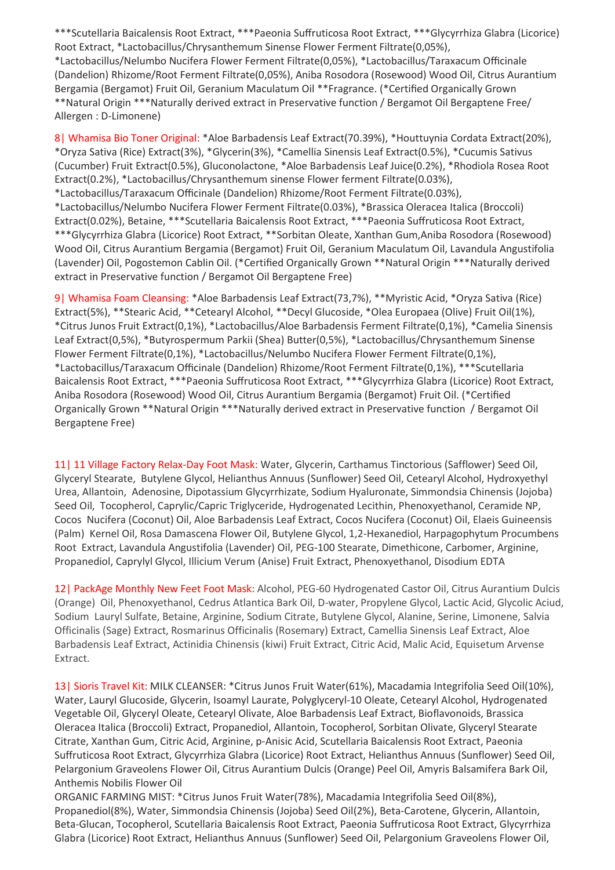\*\*\*Scutellaria Baicalensis Root Extract, \*\*\*Paeonia Suffruticosa Root Extract, \*\*\*Glycyrrhiza Glabra (Licorice) Root Extract, \*Lactobacillus/Chrysanthemum Sinense Flower Ferment Filtrate(0,05%), \*Lactobacillus/Nelumbo Nucifera Flower Ferment Filtrate(0,05%), \*Lactobacillus/Taraxacum Officinale (Dandelion) Rhizome/Root Ferment Filtrate(0,05%), Aniba Rosodora (Rosewood) Wood Oil, Citrus Aurantium Bergamia (Bergamot) Fruit Oil, Geranium Maculatum Oil \*\*Fragrance. (\*Certified Organically Grown \*\*Natural Origin \*\*\*Naturally derived extract in Preservative function / Bergamot Oil Bergaptene Free/ Allergen : D-Limonene)

8| Whamisa Bio Toner Original: \*Aloe Barbadensis Leaf Extract(70.39%), \*Houttuynia Cordata Extract(20%), \*Oryza Sativa (Rice) Extract(3%), \*Glycerin(3%), \*Camellia Sinensis Leaf Extract(0.5%), \*Cucumis Sativus (Cucumber) Fruit Extract(0.5%), Gluconolactone, \*Aloe Barbadensis Leaf Juice(0.2%), \*Rhodiola Rosea Root Extract(0.2%), \*Lactobacillus/Chrysanthemum sinense Flower ferment Filtrate(0.03%), \*Lactobacillus/Taraxacum Officinale (Dandelion) Rhizome/Root Ferment Filtrate(0.03%), \*Lactobacillus/Nelumbo Nucifera Flower Ferment Filtrate(0.03%), \*Brassica Oleracea Italica (Broccoli) Extract(0.02%), Betaine, \*\*\*Scutellaria Baicalensis Root Extract, \*\*\*Paeonia Suffruticosa Root Extract, \*\*\*Glycyrrhiza Glabra (Licorice) Root Extract, \*\*Sorbitan Oleate, Xanthan Gum,Aniba Rosodora (Rosewood) Wood Oil, Citrus Aurantium Bergamia (Bergamot) Fruit Oil, Geranium Maculatum Oil, Lavandula Angustifolia (Lavender) Oil, Pogostemon Cablin Oil. (\*Certified Organically Grown \*\*Natural Origin \*\*\*Naturally derived extract in Preservative function / Bergamot Oil Bergaptene Free)

9| Whamisa Foam Cleansing: \*Aloe Barbadensis Leaf Extract(73,7%), \*\*Myristic Acid, \*Oryza Sativa (Rice) Extract(5%), \*\*Stearic Acid, \*\*Cetearyl Alcohol, \*\*Decyl Glucoside, \*Olea Europaea (Olive) Fruit Oil(1%), \*Citrus Junos Fruit Extract(0,1%), \*Lactobacillus/Aloe Barbadensis Ferment Filtrate(0,1%), \*Camelia Sinensis Leaf Extract(0,5%), \*Butyrospermum Parkii (Shea) Butter(0,5%), \*Lactobacillus/Chrysanthemum Sinense Flower Ferment Filtrate(0,1%), \*Lactobacillus/Nelumbo Nucifera Flower Ferment Filtrate(0,1%), \*Lactobacillus/Taraxacum Officinale (Dandelion) Rhizome/Root Ferment Filtrate(0,1%), \*\*\*Scutellaria Baicalensis Root Extract, \*\*\*Paeonia Suffruticosa Root Extract, \*\*\*Glycyrrhiza Glabra (Licorice) Root Extract, Aniba Rosodora (Rosewood) Wood Oil, Citrus Aurantium Bergamia (Bergamot) Fruit Oil. (\*Certified Organically Grown \*\*Natural Origin \*\*\*Naturally derived extract in Preservative function / Bergamot Oil Bergaptene Free)

11| 11 Village Factory Relax-Day Foot Mask: Water, Glycerin, Carthamus Tinctorious (Safflower) Seed Oil, Glyceryl Stearate, Butylene Glycol, Helianthus Annuus (Sunflower) Seed Oil, Cetearyl Alcohol, Hydroxyethyl Urea, Allantoin, Adenosine, Dipotassium Glycyrrhizate, Sodium Hyaluronate, Simmondsia Chinensis (Jojoba) Seed Oil, Tocopherol, Caprylic/Capric Triglyceride, Hydrogenated Lecithin, Phenoxyethanol, Ceramide NP, Cocos Nucifera (Coconut) Oil, Aloe Barbadensis Leaf Extract, Cocos Nucifera (Coconut) Oil, Elaeis Guineensis (Palm) Kernel Oil, Rosa Damascena Flower Oil, Butylene Glycol, 1,2-Hexanediol, Harpagophytum Procumbens Root Extract, Lavandula Angustifolia (Lavender) Oil, PEG-100 Stearate, Dimethicone, Carbomer, Arginine, Propanediol, Caprylyl Glycol, Illicium Verum (Anise) Fruit Extract, Phenoxyethanol, Disodium EDTA

12| PackAge Monthly New Feet Foot Mask: Alcohol, PEG-60 Hydrogenated Castor Oil, Citrus Aurantium Dulcis (Orange) Oil, Phenoxyethanol, Cedrus Atlantica Bark Oil, D-water, Propylene Glycol, Lactic Acid, Glycolic Aciud, Sodium Lauryl Sulfate, Betaine, Arginine, Sodium Citrate, Butylene Glycol, Alanine, Serine, Limonene, Salvia Officinalis (Sage) Extract, Rosmarinus Officinalis (Rosemary) Extract, Camellia Sinensis Leaf Extract, Aloe Barbadensis Leaf Extract, Actinidia Chinensis (kiwi) Fruit Extract, Citric Acid, Malic Acid, Equisetum Arvense Extract.

13| Sioris Travel Kit: MILK CLEANSER: \*Citrus Junos Fruit Water(61%), Macadamia Integrifolia Seed Oil(10%), Water, Lauryl Glucoside, Glycerin, Isoamyl Laurate, Polyglyceryl-10 Oleate, Cetearyl Alcohol, Hydrogenated Vegetable Oil, Glyceryl Oleate, Cetearyl Olivate, Aloe Barbadensis Leaf Extract, Bioflavonoids, Brassica Oleracea Italica (Broccoli) Extract, Propanediol, Allantoin, Tocopherol, Sorbitan Olivate, Glyceryl Stearate Citrate, Xanthan Gum, Citric Acid, Arginine, p-Anisic Acid, Scutellaria Baicalensis Root Extract, Paeonia Suffruticosa Root Extract, Glycyrrhiza Glabra (Licorice) Root Extract, Helianthus Annuus (Sunflower) Seed Oil, Pelargonium Graveolens Flower Oil, Citrus Aurantium Dulcis (Orange) Peel Oil, Amyris Balsamifera Bark Oil, Anthemis Nobilis Flower Oil

ORGANIC FARMING MIST: \*Citrus Junos Fruit Water(78%), Macadamia Integrifolia Seed Oil(8%), Propanediol(8%), Water, Simmondsia Chinensis (Jojoba) Seed Oil(2%), Beta-Carotene, Glycerin, Allantoin, Beta-Glucan, Tocopherol, Scutellaria Baicalensis Root Extract, Paeonia Suffruticosa Root Extract, Glycyrrhiza Glabra (Licorice) Root Extract, Helianthus Annuus (Sunflower) Seed Oil, Pelargonium Graveolens Flower Oil,